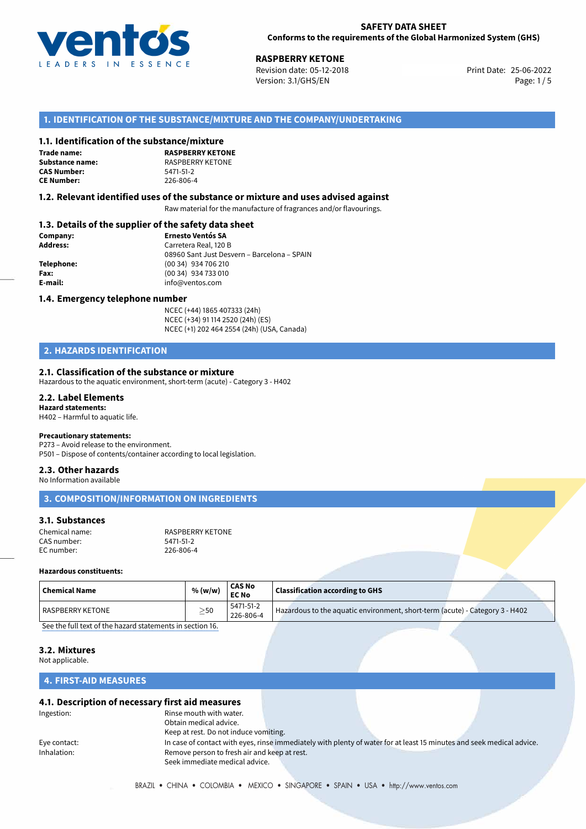

25-06-2022 **RASPBERRY KETONE** Revision date: 05-12-2018 Print Date: Version: 3.1/GHS/EN Page: 1 / 5

# **1. IDENTIFICATION OF THE SUBSTANCE/MIXTURE AND THE COMPANY/UNDERTAKING**

### **1.1. Identification of the substance/mixture**

**Trade name: CAS Number: CE Number:** 226-806-4

**RASPBERRY KETONE Substance name:** RASPBERRY KETONE<br> **CAS Number:** 5471-51-2

### **1.2. Relevant identified uses of the substance or mixture and uses advised against**

Raw material for the manufacture of fragrances and/or flavourings.

# **1.3. Details of the supplier of the safety data sheet**

| Company:   | <b>Ernesto Ventós SA</b>                    |
|------------|---------------------------------------------|
| Address:   | Carretera Real, 120 B                       |
|            | 08960 Sant Just Desvern - Barcelona - SPAIN |
| Telephone: | (00 34) 934 706 210                         |
| Fax:       | (00 34) 934 733 010                         |
| E-mail:    | info@ventos.com                             |
|            |                                             |

### **1.4. Emergency telephone number**

NCEC (+44) 1865 407333 (24h) NCEC (+34) 91 114 2520 (24h) (ES) NCEC (+1) 202 464 2554 (24h) (USA, Canada)

# **2. HAZARDS IDENTIFICATION**

### **2.1. Classification of the substance or mixture**

Hazardous to the aquatic environment, short-term (acute) - Category 3 - H402

### **2.2. Label Elements Hazard statements:**

H402 – Harmful to aquatic life.

### **Precautionary statements:**

P273 – Avoid release to the environment.

### P501 – Dispose of contents/container according to local legislation.

# **2.3. Other hazards**

No Information available

**3. COMPOSITION/INFORMATION ON INGREDIENTS**

# **3.1. Substances**

| Chemical name: | RASPBERRY KETONE |
|----------------|------------------|
| CAS number:    | 5471-51-2        |
| EC number:     | 226-806-4        |

### **Hazardous constituents:**

| <b>Chemical Name</b> | % (w/w)       | <b>CAS No</b><br><b>EC No</b> | <b>Classification according to GHS</b>                                       |  |
|----------------------|---------------|-------------------------------|------------------------------------------------------------------------------|--|
| l RASPBERRY KETONE   | $\geq$ 50     | 5471-51-2<br>226-806-4        | Hazardous to the aquatic environment, short-term (acute) - Category 3 - H402 |  |
|                      | $\sim$ $\sim$ |                               |                                                                              |  |

[See the full text of the hazard statements in section 16.](#page--1-0)

### **3.2. Mixtures**

Not applicable.

# **4. FIRST-AID MEASURES**

### **4.1. Description of necessary first aid measures**

| Ingestion:   | Rinse mouth with water.                      |  |                                                                                                                       |  |
|--------------|----------------------------------------------|--|-----------------------------------------------------------------------------------------------------------------------|--|
|              | Obtain medical advice.                       |  |                                                                                                                       |  |
|              | Keep at rest. Do not induce vomiting.        |  |                                                                                                                       |  |
| Eye contact: |                                              |  | In case of contact with eyes, rinse immediately with plenty of water for at least 15 minutes and seek medical advice. |  |
| Inhalation:  | Remove person to fresh air and keep at rest. |  |                                                                                                                       |  |
|              | Seek immediate medical advice.               |  |                                                                                                                       |  |
|              |                                              |  |                                                                                                                       |  |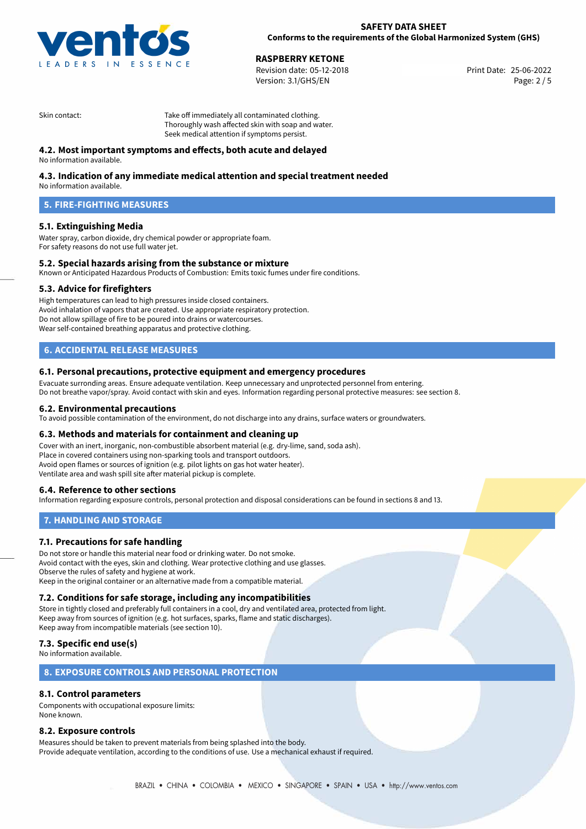

# **RASPBERRY KETONE**<br>
Revision date: 05-12-2018<br> **Print Date: 25-06-2022**

Revision date: 05-12-2018 Version: 3.1/GHS/EN Page: 2 / 5

Skin contact: Take off immediately all contaminated clothing. Thoroughly wash affected skin with soap and water. Seek medical attention if symptoms persist.

# **4.2. Most important symptoms and effects, both acute and delayed**

No information available.

# **4.3. Indication of any immediate medical attention and special treatment needed**

No information available.

# **5. FIRE-FIGHTING MEASURES**

# **5.1. Extinguishing Media**

Water spray, carbon dioxide, dry chemical powder or appropriate foam. For safety reasons do not use full water jet.

# **5.2. Special hazards arising from the substance or mixture**

Known or Anticipated Hazardous Products of Combustion: Emits toxic fumes under fire conditions.

### **5.3. Advice for firefighters**

High temperatures can lead to high pressures inside closed containers. Avoid inhalation of vapors that are created. Use appropriate respiratory protection. Do not allow spillage of fire to be poured into drains or watercourses. Wear self-contained breathing apparatus and protective clothing.

# **6. ACCIDENTAL RELEASE MEASURES**

### **6.1. Personal precautions, protective equipment and emergency procedures**

Evacuate surronding areas. Ensure adequate ventilation. Keep unnecessary and unprotected personnel from entering. Do not breathe vapor/spray. Avoid contact with skin and eyes. Information regarding personal protective measures: see section 8.

### **6.2. Environmental precautions**

To avoid possible contamination of the environment, do not discharge into any drains, surface waters or groundwaters.

### **6.3. Methods and materials for containment and cleaning up**

Cover with an inert, inorganic, non-combustible absorbent material (e.g. dry-lime, sand, soda ash). Place in covered containers using non-sparking tools and transport outdoors. Avoid open flames or sources of ignition (e.g. pilot lights on gas hot water heater). Ventilate area and wash spill site after material pickup is complete.

# **6.4. Reference to other sections**

Information regarding exposure controls, personal protection and disposal considerations can be found in sections 8 and 13.

# **7. HANDLING AND STORAGE**

# **7.1. Precautions for safe handling**

Do not store or handle this material near food or drinking water. Do not smoke. Avoid contact with the eyes, skin and clothing. Wear protective clothing and use glasses. Observe the rules of safety and hygiene at work. Keep in the original container or an alternative made from a compatible material.

# **7.2. Conditions for safe storage, including any incompatibilities**

Store in tightly closed and preferably full containers in a cool, dry and ventilated area, protected from light. Keep away from sources of ignition (e.g. hot surfaces, sparks, flame and static discharges). Keep away from incompatible materials (see section 10).

# **7.3. Specific end use(s)**

No information available.

## **8. EXPOSURE CONTROLS AND PERSONAL PROTECTION**

# **8.1. Control parameters**

Components with occupational exposure limits: None known.

### **8.2. Exposure controls**

Measures should be taken to prevent materials from being splashed into the body. Provide adequate ventilation, according to the conditions of use. Use a mechanical exhaust if required.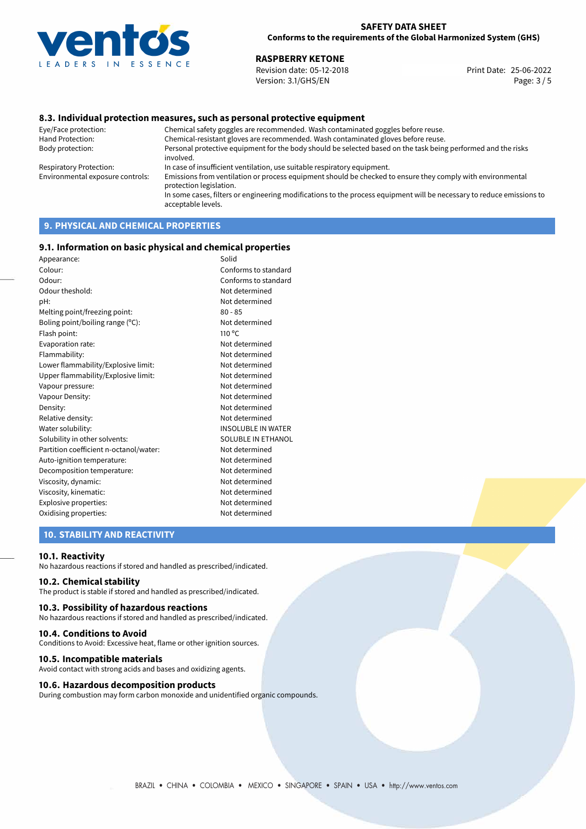

# **RASPBERRY KETONE**<br>
Revision date: 05-12-2018<br> **Print Date: 25-06-2022**

Revision date: 05-12-2018 Version: 3.1/GHS/EN Page: 3 / 5

# **8.3. Individual protection measures, such as personal protective equipment**

Eye/Face protection: Chemical safety goggles are recommended. Wash contaminated goggles before reuse. Chemical-resistant gloves are recommended. Wash contaminated gloves before reuse. Body protection: Personal protective equipment for the body should be selected based on the task being performed and the risks involved. Respiratory Protection: In case of insufficient ventilation, use suitable respiratory equipment. Environmental exposure controls: Emissions from ventilation or process equipment should be checked to ensure they comply with environmental protection legislation. In some cases, filters or engineering modifications to the process equipment will be necessary to reduce emissions to acceptable levels.

# **9. PHYSICAL AND CHEMICAL PROPERTIES**

### **9.1. Information on basic physical and chemical properties**

| Appearance:                            | Solid                     |
|----------------------------------------|---------------------------|
| Colour:                                | Conforms to standard      |
| Odour:                                 | Conforms to standard      |
| Odour theshold:                        | Not determined            |
| pH:                                    | Not determined            |
| Melting point/freezing point:          | $80 - 85$                 |
| Boling point/boiling range (°C):       | Not determined            |
| Flash point:                           | 110 °C                    |
| Evaporation rate:                      | Not determined            |
| Flammability:                          | Not determined            |
| Lower flammability/Explosive limit:    | Not determined            |
| Upper flammability/Explosive limit:    | Not determined            |
| Vapour pressure:                       | Not determined            |
| Vapour Density:                        | Not determined            |
| Density:                               | Not determined            |
| Relative density:                      | Not determined            |
| Water solubility:                      | <b>INSOLUBLE IN WATER</b> |
| Solubility in other solvents:          | SOLUBLE IN ETHANOL        |
| Partition coefficient n-octanol/water: | Not determined            |
| Auto-ignition temperature:             | Not determined            |
| Decomposition temperature:             | Not determined            |
| Viscosity, dynamic:                    | Not determined            |
| Viscosity, kinematic:                  | Not determined            |
| Explosive properties:                  | Not determined            |
| Oxidising properties:                  | Not determined            |
|                                        |                           |

## **10. STABILITY AND REACTIVITY**

### **10.1. Reactivity**

No hazardous reactions if stored and handled as prescribed/indicated.

# **10.2. Chemical stability**

The product is stable if stored and handled as prescribed/indicated.

### **10.3. Possibility of hazardous reactions**

No hazardous reactions if stored and handled as prescribed/indicated.

### **10.4. Conditions to Avoid**

Conditions to Avoid: Excessive heat, flame or other ignition sources.

### **10.5. Incompatible materials**

Avoid contact with strong acids and bases and oxidizing agents.

### **10.6. Hazardous decomposition products**

During combustion may form carbon monoxide and unidentified organic compounds.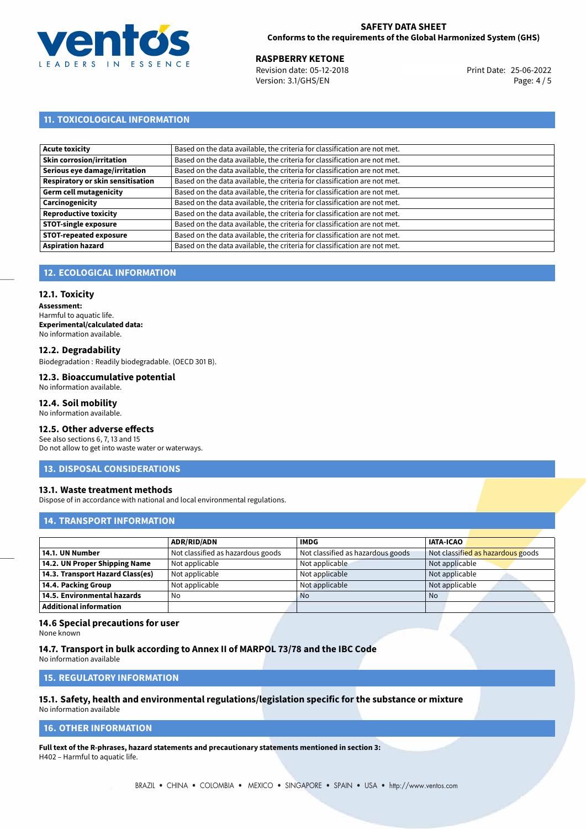

# **SAFETY DATA SHEET Conforms to the requirements of the Global Harmonized System (GHS)**

25-06-2022 **RASPBERRY KETONE** Revision date: 05-12-2018 Print Date: Version: 3.1/GHS/EN Page: 4 / 5

# **11. TOXICOLOGICAL INFORMATION**

| <b>Acute toxicity</b>             | Based on the data available, the criteria for classification are not met. |
|-----------------------------------|---------------------------------------------------------------------------|
| Skin corrosion/irritation         | Based on the data available, the criteria for classification are not met. |
| Serious eye damage/irritation     | Based on the data available, the criteria for classification are not met. |
| Respiratory or skin sensitisation | Based on the data available, the criteria for classification are not met. |
| Germ cell mutagenicity            | Based on the data available, the criteria for classification are not met. |
| Carcinogenicity                   | Based on the data available, the criteria for classification are not met. |
| Reproductive toxicity             | Based on the data available, the criteria for classification are not met. |
| <b>STOT-single exposure</b>       | Based on the data available, the criteria for classification are not met. |
| <b>STOT-repeated exposure</b>     | Based on the data available, the criteria for classification are not met. |
| <b>Aspiration hazard</b>          | Based on the data available, the criteria for classification are not met. |

# **12. ECOLOGICAL INFORMATION**

### **12.1. Toxicity**

**Assessment:** Harmful to aquatic life. **Experimental/calculated data:** No information available.

### **12.2. Degradability**

Biodegradation : Readily biodegradable. (OECD 301 B).

### **12.3. Bioaccumulative potential** No information available.

# **12.4. Soil mobility**

No information available.

### **12.5. Other adverse effects**

See also sections 6, 7, 13 and 15 Do not allow to get into waste water or waterways.

### **13. DISPOSAL CONSIDERATIONS**

### **13.1. Waste treatment methods**

Dispose of in accordance with national and local environmental regulations.

# **14. TRANSPORT INFORMATION**

|                                  | <b>ADR/RID/ADN</b>                | <b>IMDG</b>                       | <b>IATA-ICAO</b>                  |
|----------------------------------|-----------------------------------|-----------------------------------|-----------------------------------|
| 14.1. UN Number                  | Not classified as hazardous goods | Not classified as hazardous goods | Not classified as hazardous goods |
| 14.2. UN Proper Shipping Name    | Not applicable                    | Not applicable                    | Not applicable                    |
| 14.3. Transport Hazard Class(es) | Not applicable                    | Not applicable                    | Not applicable                    |
| 14.4. Packing Group              | Not applicable                    | Not applicable                    | Not applicable                    |
| 14.5. Environmental hazards      | No                                | <b>No</b>                         | No.                               |
| Additional information           |                                   |                                   |                                   |

# **14.6 Special precautions for user**

None known

### **14.7. Transport in bulk according to Annex II of MARPOL 73/78 and the IBC Code**

No information available

# **15. REGULATORY INFORMATION**

### **15.1. Safety, health and environmental regulations/legislation specific for the substance or mixture** No information available

### **16. OTHER INFORMATION**

**Full text of the R-phrases, hazard statements and precautionary statements mentioned in section 3:** H402 – Harmful to aquatic life.